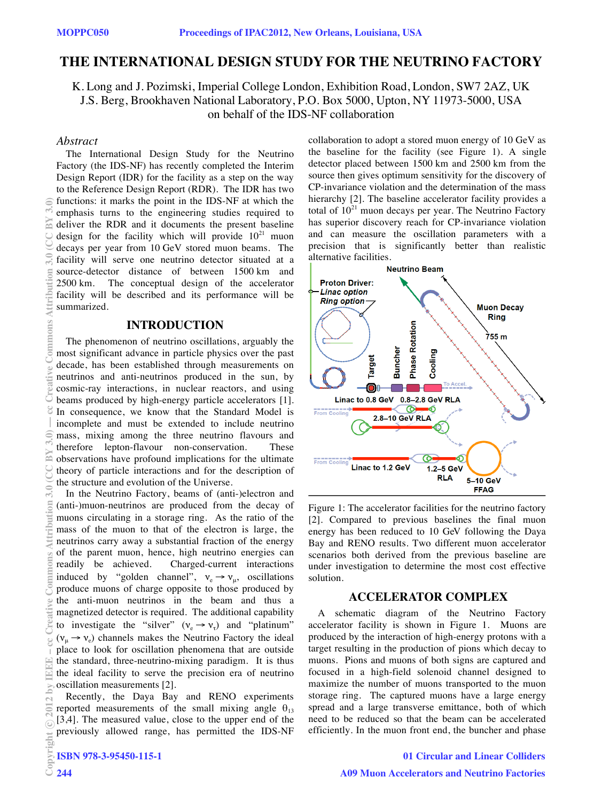# **THE INTERNATIONAL DESIGN STUDY FOR THE NEUTRINO FACTORY**

K. Long and J. Pozimski, Imperial College London, Exhibition Road, London, SW7 2AZ, UK J.S. Berg, Brookhaven National Laboratory, P.O. Box 5000, Upton, NY 11973-5000, USA on behalf of the IDS-NF collaboration

### *Abstract*

 $\overline{a}$ 

a

 $\overline{C}$ 

The International Design Study for the Neutrino Factory (the IDS-NF) has recently completed the Interim Design Report (IDR) for the facility as a step on the way to the Reference Design Report (RDR). The IDR has two functions: it marks the point in the IDS-NF at which the emphasis turns to the engineering studies required to deliver the RDR and it documents the present baseline design for the facility which will provide  $10^{21}$  muon decays per year from 10 GeV stored muon beams. The facility will serve one neutrino detector situated at a source-detector distance of between 1500 km and 2500 km. The conceptual design of the accelerator facility will be described and its performance will be summarized.

### **INTRODUCTION**

The phenomenon of neutrino oscillations, arguably the most significant advance in particle physics over the past decade, has been established through measurements on neutrinos and anti-neutrinos produced in the sun, by cosmic-ray interactions, in nuclear reactors, and using beams produced by high-energy particle accelerators [1]. In consequence, we know that the Standard Model is incomplete and must be extended to include neutrino mass, mixing among the three neutrino flavours and therefore lepton-flavour non-conservation. These observations have profound implications for the ultimate theory of particle interactions and for the description of the structure and evolution of the Universe.

In the Neutrino Factory, beams of (anti-)electron and (anti-)muon-neutrinos are produced from the decay of muons circulating in a storage ring. As the ratio of the mass of the muon to that of the electron is large, the neutrinos carry away a substantial fraction of the energy of the parent muon, hence, high neutrino energies can readily be achieved. Charged-current interactions induced by "golden channel",  $v_e \rightarrow v_\mu$ , oscillations produce muons of charge opposite to those produced by the anti-muon neutrinos in the beam and thus a magnetized detector is required. The additional capability to investigate the "silver" ( $v_e \rightarrow v_\tau$ ) and "platinum"  $(v_{\mu} \rightarrow v_{e})$  channels makes the Neutrino Factory the ideal place to look for oscillation phenomena that are outside the standard, three-neutrino-mixing paradigm. It is thus the ideal facility to serve the precision era of neutrino oscillation measurements [2]. (0)\$ Ma OO) 0;\$ mommany succession at move of the divide Commons Attribution 3.0 (CC BY 3.0 (CC BY 3.0 (CC BY 3.0) — commons Attribution 3.0 (CC BY 3.0 (CC BY 3.0) — commons Attribution 3.0 (CC BY 3.0) — commons Attributi

Recently, the Daya Bay and RENO experiments reported measurements of the small mixing angle  $\theta_{13}$ [3,4]. The measured value, close to the upper end of the previously allowed range, has permitted the IDS-NF collaboration to adopt a stored muon energy of 10 GeV as the baseline for the facility (see Figure 1). A single detector placed between 1500 km and 2500 km from the source then gives optimum sensitivity for the discovery of CP-invariance violation and the determination of the mass hierarchy [2]. The baseline accelerator facility provides a total of  $10^{21}$  muon decays per year. The Neutrino Factory has superior discovery reach for CP-invariance violation and can measure the oscillation parameters with a precision that is significantly better than realistic



Figure 1: The accelerator facilities for the neutrino factory [2]. Compared to previous baselines the final muon energy has been reduced to 10 GeV following the Daya Bay and RENO results. Two different muon accelerator scenarios both derived from the previous baseline are under investigation to determine the most cost effective solution.

### **ACCELERATOR COMPLEX**

A schematic diagram of the Neutrino Factory accelerator facility is shown in Figure 1. Muons are produced by the interaction of high-energy protons with a target resulting in the production of pions which decay to muons. Pions and muons of both signs are captured and focused in a high-field solenoid channel designed to maximize the number of muons transported to the muon storage ring. The captured muons have a large energy spread and a large transverse emittance, both of which need to be reduced so that the beam can be accelerated efficiently. In the muon front end, the buncher and phase

c○

 $\geq$ 

g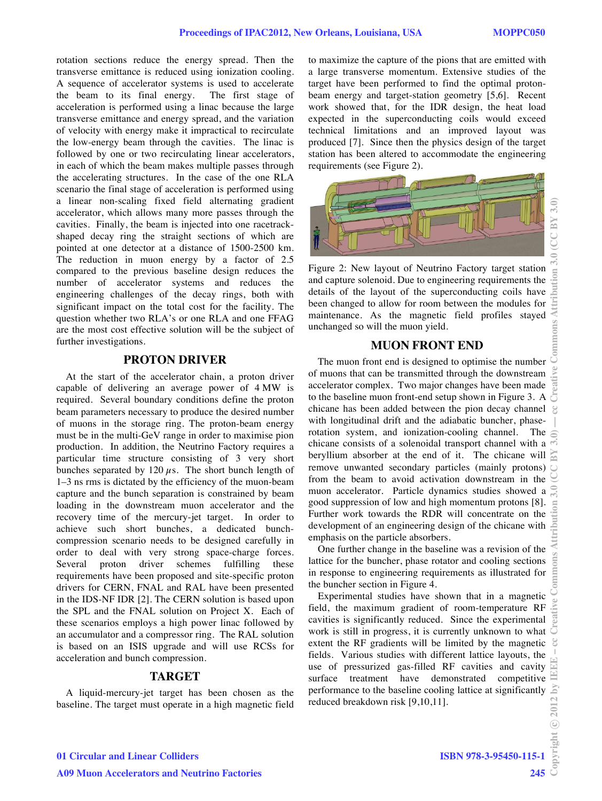rotation sections reduce the energy spread. Then the transverse emittance is reduced using ionization cooling. A sequence of accelerator systems is used to accelerate the beam to its final energy. The first stage of acceleration is performed using a linac because the large transverse emittance and energy spread, and the variation of velocity with energy make it impractical to recirculate the low-energy beam through the cavities. The linac is followed by one or two recirculating linear accelerators, in each of which the beam makes multiple passes through the accelerating structures. In the case of the one RLA scenario the final stage of acceleration is performed using a linear non-scaling fixed field alternating gradient accelerator, which allows many more passes through the cavities. Finally, the beam is injected into one racetrackshaped decay ring the straight sections of which are pointed at one detector at a distance of 1500-2500 km. The reduction in muon energy by a factor of 2.5 compared to the previous baseline design reduces the number of accelerator systems and reduces the engineering challenges of the decay rings, both with significant impact on the total cost for the facility. The question whether two RLA's or one RLA and one FFAG are the most cost effective solution will be the subject of further investigations.

### **PROTON DRIVER**

At the start of the accelerator chain, a proton driver capable of delivering an average power of 4 MW is required. Several boundary conditions define the proton beam parameters necessary to produce the desired number of muons in the storage ring. The proton-beam energy must be in the multi-GeV range in order to maximise pion production. In addition, the Neutrino Factory requires a particular time structure consisting of 3 very short bunches separated by  $120 \mu s$ . The short bunch length of 1–3 ns rms is dictated by the efficiency of the muon-beam capture and the bunch separation is constrained by beam loading in the downstream muon accelerator and the recovery time of the mercury-jet target. In order to achieve such short bunches, a dedicated bunchcompression scenario needs to be designed carefully in order to deal with very strong space-charge forces. Several proton driver schemes fulfilling these requirements have been proposed and site-specific proton drivers for CERN, FNAL and RAL have been presented in the IDS-NF IDR [2]. The CERN solution is based upon the SPL and the FNAL solution on Project X. Each of these scenarios employs a high power linac followed by an accumulator and a compressor ring. The RAL solution is based on an ISIS upgrade and will use RCSs for acceleration and bunch compression.

### **TARGET**

A liquid-mercury-jet target has been chosen as the baseline. The target must operate in a high magnetic field to maximize the capture of the pions that are emitted with a large transverse momentum. Extensive studies of the target have been performed to find the optimal protonbeam energy and target-station geometry [5,6]. Recent work showed that, for the IDR design, the heat load expected in the superconducting coils would exceed technical limitations and an improved layout was produced [7]. Since then the physics design of the target station has been altered to accommodate the engineering requirements (see Figure 2).



Figure 2: New layout of Neutrino Factory target station and capture solenoid. Due to engineering requirements the details of the layout of the superconducting coils have been changed to allow for room between the modules for maintenance. As the magnetic field profiles stayed unchanged so will the muon yield.

## **MUON FRONT END**

The muon front end is designed to optimise the number of muons that can be transmitted through the downstream accelerator complex. Two major changes have been made to the baseline muon front-end setup shown in Figure 3. A  $\overline{5}$ chicane has been added between the pion decay channel with longitudinal drift and the adiabatic buncher, phaserotation system, and ionization-cooling channel. The chicane consists of a solenoidal transport channel with a beryllium absorber at the end of it. The chicane will  $\sum_{n=1}^{\infty}$ remove unwanted secondary particles (mainly protons) from the beam to avoid activation downstream in the muon accelerator. Particle dynamics studies showed a good suppression of low and high momentum protons [8]. Further work towards the RDR will concentrate on the development of an engineering design of the chicane with emphasis on the particle absorbers.

One further change in the baseline was a revision of the lattice for the buncher, phase rotator and cooling sections in response to engineering requirements as illustrated for the buncher section in Figure 4.

Experimental studies have shown that in a magnetic field, the maximum gradient of room-temperature RF cavities is significantly reduced. Since the experimental work is still in progress, it is currently unknown to what extent the RF gradients will be limited by the magnetic  $\mathcal{E}$ fields. Various studies with different lattice layouts, the use of pressurized gas-filled RF cavities and cavity surface treatment have demonstrated competitive performance to the baseline cooling lattice at significantly reduced breakdown risk [9,10,11].